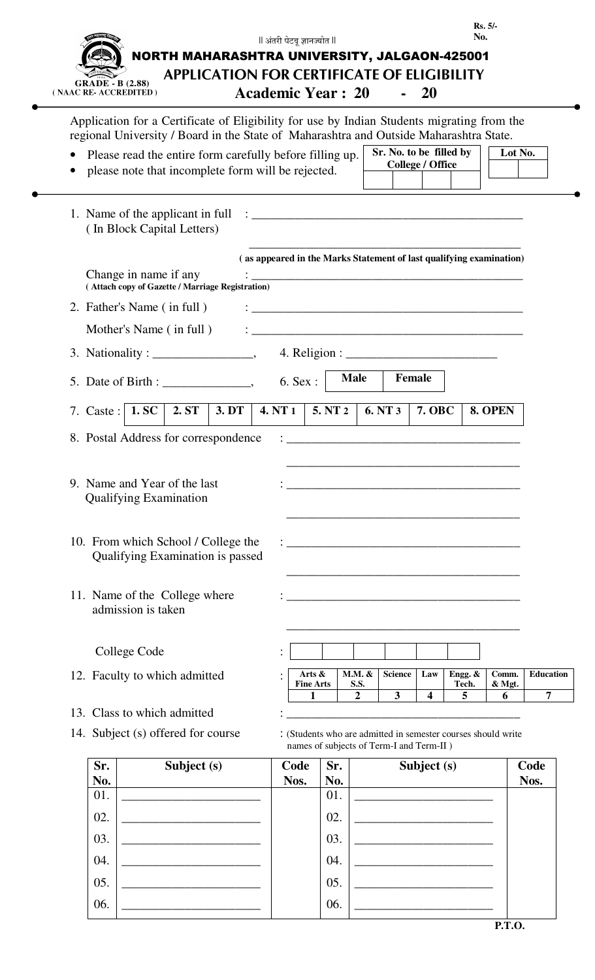|     |                                                                                                                                          | ll अंतरी पेटवू ज्ञानज्योत ll                                                                                                                                                                                                      |         |                         |                                                    |                  | No.                                                           | Rs. 5/            |                  |
|-----|------------------------------------------------------------------------------------------------------------------------------------------|-----------------------------------------------------------------------------------------------------------------------------------------------------------------------------------------------------------------------------------|---------|-------------------------|----------------------------------------------------|------------------|---------------------------------------------------------------|-------------------|------------------|
|     | NORTH MAHARASHTRA UNIVERSITY, JALGAON-425001                                                                                             |                                                                                                                                                                                                                                   |         |                         |                                                    |                  |                                                               |                   |                  |
|     | <b>APPLICATION FOR CERTIFICATE OF ELIGIBILITY</b><br><b>GRADE - B (2.88)</b>                                                             |                                                                                                                                                                                                                                   |         |                         |                                                    |                  |                                                               |                   |                  |
|     | (NAAC RE-ACCREDITED)                                                                                                                     | <b>Academic Year: 20</b>                                                                                                                                                                                                          |         |                         |                                                    | <b>20</b>        |                                                               |                   |                  |
|     | Application for a Certificate of Eligibility for use by Indian Students migrating from the                                               |                                                                                                                                                                                                                                   |         |                         |                                                    |                  |                                                               |                   |                  |
|     | regional University / Board in the State of Maharashtra and Outside Maharashtra State.                                                   |                                                                                                                                                                                                                                   |         |                         |                                                    |                  |                                                               |                   |                  |
|     | Please read the entire form carefully before filling up.                                                                                 |                                                                                                                                                                                                                                   |         |                         | Sr. No. to be filled by<br><b>College / Office</b> |                  |                                                               | Lot No.           |                  |
|     | please note that incomplete form will be rejected.                                                                                       |                                                                                                                                                                                                                                   |         |                         |                                                    |                  |                                                               |                   |                  |
|     | (In Block Capital Letters)                                                                                                               |                                                                                                                                                                                                                                   |         |                         |                                                    |                  |                                                               |                   |                  |
|     |                                                                                                                                          | (as appeared in the Marks Statement of last qualifying examination)                                                                                                                                                               |         |                         |                                                    |                  |                                                               |                   |                  |
|     | Change in name if any<br>(Attach copy of Gazette / Marriage Registration)                                                                |                                                                                                                                                                                                                                   |         |                         |                                                    |                  |                                                               |                   |                  |
|     | 2. Father's Name (in full)                                                                                                               | $\frac{1}{2}$ . The contract of the contract of the contract of the contract of the contract of the contract of the contract of the contract of the contract of the contract of the contract of the contract of the contract of t |         |                         |                                                    |                  |                                                               |                   |                  |
|     | Mother's Name (in full)                                                                                                                  |                                                                                                                                                                                                                                   |         |                         |                                                    |                  |                                                               |                   |                  |
|     | 3. Nationality : $\_\_\_\_\_\_\_\_\_\_$                                                                                                  |                                                                                                                                                                                                                                   |         |                         |                                                    |                  |                                                               |                   |                  |
|     |                                                                                                                                          |                                                                                                                                                                                                                                   |         | <b>Male</b>             | Female                                             |                  |                                                               |                   |                  |
|     | 5. Date of Birth :                                                                                                                       | 6. Sex :                                                                                                                                                                                                                          |         |                         |                                                    |                  |                                                               |                   |                  |
|     | 3. DT<br>7. Caste :   1. SC  <br>2. ST                                                                                                   | <b>4. NT 1</b>                                                                                                                                                                                                                    | 5. NT 2 |                         | 6. NT 3                                            | <b>7. OBC</b>    |                                                               | 8. OPEN           |                  |
|     | 8. Postal Address for correspondence                                                                                                     |                                                                                                                                                                                                                                   |         |                         |                                                    |                  |                                                               |                   |                  |
|     | 9. Name and Year of the last<br><b>Qualifying Examination</b><br>10. From which School / College the<br>Qualifying Examination is passed |                                                                                                                                                                                                                                   |         |                         |                                                    |                  |                                                               |                   |                  |
|     | 11. Name of the College where<br>admission is taken                                                                                      |                                                                                                                                                                                                                                   |         |                         |                                                    |                  |                                                               |                   |                  |
|     | College Code                                                                                                                             |                                                                                                                                                                                                                                   |         |                         |                                                    |                  |                                                               |                   |                  |
|     | 12. Faculty to which admitted                                                                                                            | Arts $\&$<br><b>Fine Arts</b>                                                                                                                                                                                                     |         | $M.M.$ &<br><b>S.S.</b> | <b>Science</b>                                     | Law              | Engg. $&$<br>Tech.                                            | Comm.<br>$&$ Mgt. | <b>Education</b> |
|     |                                                                                                                                          | 1                                                                                                                                                                                                                                 |         | $\mathbf{2}$            | 3                                                  | $\boldsymbol{4}$ | 5                                                             | 6                 | 7                |
|     | 13. Class to which admitted                                                                                                              |                                                                                                                                                                                                                                   |         |                         |                                                    |                  |                                                               |                   |                  |
|     | 14. Subject (s) offered for course                                                                                                       |                                                                                                                                                                                                                                   |         |                         | names of subjects of Term-I and Term-II )          |                  | : (Students who are admitted in semester courses should write |                   |                  |
| Sr. | Subject (s)                                                                                                                              | Code                                                                                                                                                                                                                              | Sr.     |                         |                                                    | Subject (s)      |                                                               |                   | Code             |
| No. |                                                                                                                                          | Nos.                                                                                                                                                                                                                              | No.     |                         |                                                    |                  |                                                               |                   | Nos.             |
| 01. |                                                                                                                                          |                                                                                                                                                                                                                                   | 01.     |                         |                                                    |                  |                                                               |                   |                  |
| 02. |                                                                                                                                          |                                                                                                                                                                                                                                   | 02.     |                         |                                                    |                  |                                                               |                   |                  |
| 03. |                                                                                                                                          |                                                                                                                                                                                                                                   | 03.     |                         |                                                    |                  |                                                               |                   |                  |
| 04. |                                                                                                                                          |                                                                                                                                                                                                                                   | 04.     |                         |                                                    |                  |                                                               |                   |                  |

 $\bullet$ 

05. \_\_\_\_\_\_\_\_\_\_\_\_\_\_\_\_\_\_\_\_\_\_ 05. \_\_\_\_\_\_\_\_\_\_\_\_\_\_\_\_\_\_\_\_\_\_

06. \_\_\_\_\_\_\_\_\_\_\_\_\_\_\_\_\_\_\_\_\_\_ 06. \_\_\_\_\_\_\_\_\_\_\_\_\_\_\_\_\_\_\_\_\_\_

|  |  | I | ı |
|--|--|---|---|
|  |  |   |   |